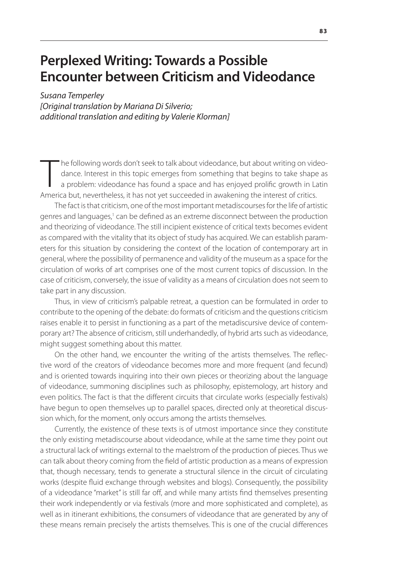# **Perplexed Writing: Towards a Possible Encounter between Criticism and Videodance**

*Susana Temperley [Original translation by Mariana Di Silverio; additional translation and editing by Valerie Klorman]*

The following words don't seek to talk about videodance, but about writing on vid dance. Interest in this topic emerges from something that begins to take shape a problem: videodance has found a space and has enjoyed proli he following words don't seek to talk about videodance, but about writing on videodance. Interest in this topic emerges from something that begins to take shape as a problem: videodance has found a space and has enjoyed prolific growth in Latin

The fact is that criticism, one of the most important metadiscourses for the life of artistic genres and languages,<sup>1</sup> can be defined as an extreme disconnect between the production and theorizing of videodance. The still incipient existence of critical texts becomes evident as compared with the vitality that its object of study has acquired. We can establish parameters for this situation by considering the context of the location of contemporary art in general, where the possibility of permanence and validity of the museum as a space for the circulation of works of art comprises one of the most current topics of discussion. In the case of criticism, conversely, the issue of validity as a means of circulation does not seem to take part in any discussion.

Thus, in view of criticism's palpable retreat, a question can be formulated in order to contribute to the opening of the debate: do formats of criticism and the questions criticism raises enable it to persist in functioning as a part of the metadiscursive device of contemporary art? The absence of criticism, still underhandedly, of hybrid arts such as videodance, might suggest something about this matter.

On the other hand, we encounter the writing of the artists themselves. The reflective word of the creators of videodance becomes more and more frequent (and fecund) and is oriented towards inquiring into their own pieces or theorizing about the language of videodance, summoning disciplines such as philosophy, epistemology, art history and even politics. The fact is that the different circuits that circulate works (especially festivals) have begun to open themselves up to parallel spaces, directed only at theoretical discussion which, for the moment, only occurs among the artists themselves.

Currently, the existence of these texts is of utmost importance since they constitute the only existing metadiscourse about videodance, while at the same time they point out a structural lack of writings external to the maelstrom of the production of pieces. Thus we can talk about theory coming from the field of artistic production as a means of expression that, though necessary, tends to generate a structural silence in the circuit of circulating works (despite fluid exchange through websites and blogs). Consequently, the possibility of a videodance "market" is still far off, and while many artists find themselves presenting their work independently or via festivals (more and more sophisticated and complete), as well as in itinerant exhibitions, the consumers of videodance that are generated by any of these means remain precisely the artists themselves. This is one of the crucial differences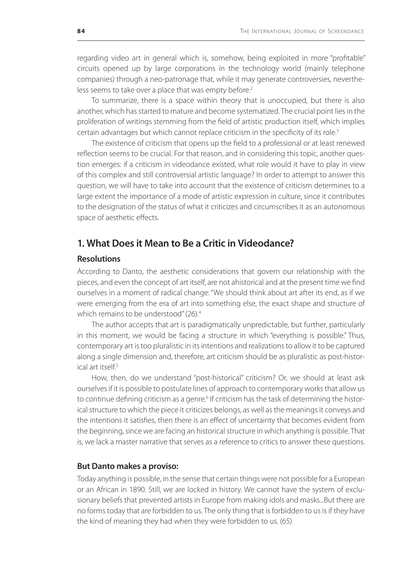regarding video art in general which is, somehow, being exploited in more "profitable" circuits opened up by large corporations in the technology world (mainly telephone companies) through a neo-patronage that, while it may generate controversies, nevertheless seems to take over a place that was empty before.<sup>2</sup>

To summarize, there is a space within theory that is unoccupied, but there is also another, which has started to mature and become systematized. The crucial point lies in the proliferation of writings stemming from the field of artistic production itself, which implies certain advantages but which cannot replace criticism in the specificity of its role.<sup>3</sup>

The existence of criticism that opens up the field to a professional or at least renewed reflection seems to be crucial. For that reason, and in considering this topic, another question emerges: if a criticism in videodance existed, what role would it have to play in view of this complex and still controversial artistic language? In order to attempt to answer this question, we will have to take into account that the existence of criticism determines to a large extent the importance of a mode of artistic expression in culture, since it contributes to the designation of the status of what it criticizes and circumscribes it as an autonomous space of aesthetic effects.

## **1. What Does it Mean to Be a Critic in Videodance?**

## **Resolutions**

According to Danto, the aesthetic considerations that govern our relationship with the pieces, and even the concept of art itself, are not ahistorical and at the present time we find ourselves in a moment of radical change: "We should think about art after its end, as if we were emerging from the era of art into something else, the exact shape and structure of which remains to be understood" (26).<sup>4</sup>

The author accepts that art is paradigmatically unpredictable, but further, particularly in this moment, we would be facing a structure in which "everything is possible." Thus, contemporary art is too pluralistic in its intentions and realizations to allow it to be captured along a single dimension and, therefore, art criticism should be as pluralistic as post-histor $i$ cal art itself<sup>5</sup>

How, then, do we understand "post-historical" criticism? Or, we should at least ask ourselves if it is possible to postulate lines of approach to contemporary works that allow us to continue defining criticism as a genre.<sup>6</sup> If criticism has the task of determining the historical structure to which the piece it criticizes belongs, as well as the meanings it conveys and the intentions it satisfies, then there is an effect of uncertainty that becomes evident from the beginning, since we are facing an historical structure in which anything is possible. That is, we lack a master narrative that serves as a reference to critics to answer these questions.

### **But Danto makes a proviso:**

Today anything is possible, in the sense that certain things were not possible for a European or an African in 1890. Still, we are locked in history. We cannot have the system of exclusionary beliefs that prevented artists in Europe from making idols and masks...But there are no forms today that are forbidden to us. The only thing that is forbidden to us is if they have the kind of meaning they had when they were forbidden to us. (65)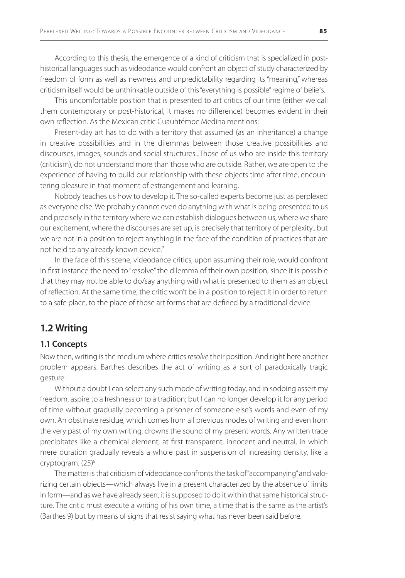According to this thesis, the emergence of a kind of criticism that is specialized in posthistorical languages such as videodance would confront an object of study characterized by freedom of form as well as newness and unpredictability regarding its "meaning," whereas criticism itself would be unthinkable outside of this "everything is possible" regime of beliefs.

This uncomfortable position that is presented to art critics of our time (either we call them contemporary or post-historical, it makes no difference) becomes evident in their own reflection. As the Mexican critic Cuauhtémoc Medina mentions:

Present-day art has to do with a territory that assumed (as an inheritance) a change in creative possibilities and in the dilemmas between those creative possibilities and discourses, images, sounds and social structures...Those of us who are inside this territory (criticism), do not understand more than those who are outside. Rather, we are open to the experience of having to build our relationship with these objects time after time, encountering pleasure in that moment of estrangement and learning.

Nobody teaches us how to develop it. The so-called experts become just as perplexed as everyone else. We probably cannot even do anything with what is being presented to us and precisely in the territory where we can establish dialogues between us, where we share our excitement, where the discourses are set up, is precisely that territory of perplexity...but we are not in a position to reject anything in the face of the condition of practices that are not held to any already known device.<sup>7</sup>

In the face of this scene, videodance critics, upon assuming their role, would confront in first instance the need to "resolve" the dilemma of their own position, since it is possible that they may not be able to do/say anything with what is presented to them as an object of reflection. At the same time, the critic won't be in a position to reject it in order to return to a safe place, to the place of those art forms that are defined by a traditional device.

# **1.2 Writing**

## **1.1 Concepts**

Now then, writing is the medium where critics *resolve* their position. And right here another problem appears. Barthes describes the act of writing as a sort of paradoxically tragic gesture:

Without a doubt I can select any such mode of writing today, and in sodoing assert my freedom, aspire to a freshness or to a tradition; but I can no longer develop it for any period of time without gradually becoming a prisoner of someone else's words and even of my own. An obstinate residue, which comes from all previous modes of writing and even from the very past of my own writing, drowns the sound of my present words. Any written trace precipitates like a chemical element, at first transparent, innocent and neutral, in which mere duration gradually reveals a whole past in suspension of increasing density, like a cryptogram. (25)<sup>8</sup>

The matter is that criticism of videodance confronts the task of "accompanying" and valorizing certain objects—which always live in a present characterized by the absence of limits in form—and as we have already seen, it is supposed to do it within that same historical structure. The critic must execute a writing of his own time, a time that is the same as the artist's (Barthes 9) but by means of signs that resist saying what has never been said before.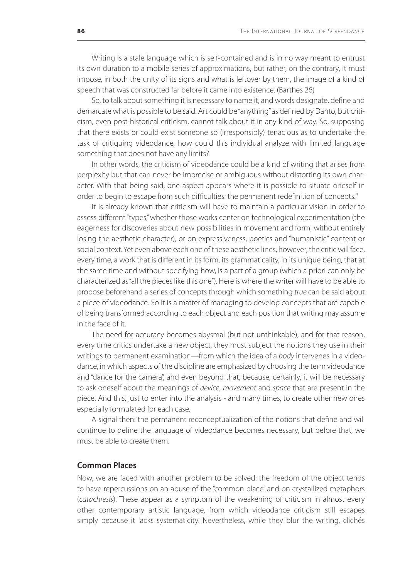Writing is a stale language which is self-contained and is in no way meant to entrust its own duration to a mobile series of approximations, but rather, on the contrary, it must impose, in both the unity of its signs and what is leftover by them, the image of a kind of speech that was constructed far before it came into existence. (Barthes 26)

So, to talk about something it is necessary to name it, and words designate, define and demarcate what is possible to be said. Art could be "anything" as defined by Danto, but criticism, even post-historical criticism, cannot talk about it in any kind of way. So, supposing that there exists or could exist someone so (irresponsibly) tenacious as to undertake the task of critiquing videodance, how could this individual analyze with limited language something that does not have any limits?

In other words, the criticism of videodance could be a kind of writing that arises from perplexity but that can never be imprecise or ambiguous without distorting its own character. With that being said, one aspect appears where it is possible to situate oneself in order to begin to escape from such difficulties: the permanent redefinition of concepts.<sup>9</sup>

It is already known that criticism will have to maintain a particular vision in order to assess different "types," whether those works center on technological experimentation (the eagerness for discoveries about new possibilities in movement and form, without entirely losing the aesthetic character), or on expressiveness, poetics and "humanistic" content or social context. Yet even above each one of these aesthetic lines, however, the critic will face, every time, a work that is different in its form, its grammaticality, in its unique being, that at the same time and without specifying how, is a part of a group (which a priori can only be characterized as "all the pieces like this one"). Here is where the writer will have to be able to propose beforehand a series of concepts through which something *true* can be said about a piece of videodance. So it is a matter of managing to develop concepts that are capable of being transformed according to each object and each position that writing may assume in the face of it.

The need for accuracy becomes abysmal (but not unthinkable), and for that reason, every time critics undertake a new object, they must subject the notions they use in their writings to permanent examination—from which the idea of a *body* intervenes in a videodance, in which aspects of the discipline are emphasized by choosing the term videodance and "dance for the camera", and even beyond that, because, certainly, it will be necessary to ask oneself about the meanings of *device*, *movement* and *space* that are present in the piece. And this, just to enter into the analysis - and many times, to create other new ones especially formulated for each case.

A signal then: the permanent reconceptualization of the notions that define and will continue to define the language of videodance becomes necessary, but before that, we must be able to create them.

## **Common Places**

Now, we are faced with another problem to be solved: the freedom of the object tends to have repercussions on an abuse of the "common place" and on crystallized metaphors (*catachresis*). These appear as a symptom of the weakening of criticism in almost every other contemporary artistic language, from which videodance criticism still escapes simply because it lacks systematicity. Nevertheless, while they blur the writing, clichés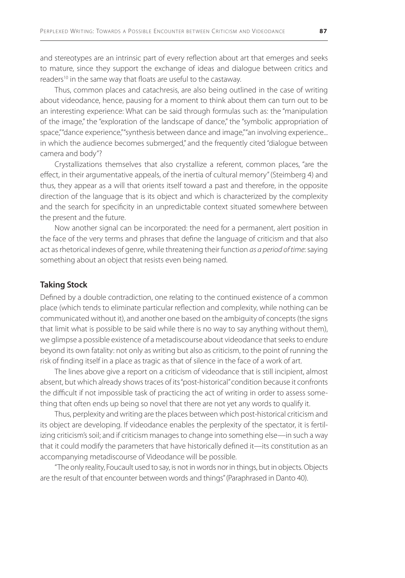and stereotypes are an intrinsic part of every reflection about art that emerges and seeks to mature, since they support the exchange of ideas and dialogue between critics and readers<sup>10</sup> in the same way that floats are useful to the castaway.

Thus, common places and catachresis, are also being outlined in the case of writing about videodance, hence, pausing for a moment to think about them can turn out to be an interesting experience: What can be said through formulas such as: the "manipulation of the image," the "exploration of the landscape of dance," the "symbolic appropriation of space,""dance experience,""synthesis between dance and image,""an involving experience... in which the audience becomes submerged," and the frequently cited "dialogue between camera and body"?

Crystallizations themselves that also crystallize a referent, common places, "are the effect, in their argumentative appeals, of the inertia of cultural memory" (Steimberg 4) and thus, they appear as a will that orients itself toward a past and therefore, in the opposite direction of the language that is its object and which is characterized by the complexity and the search for specificity in an unpredictable context situated somewhere between the present and the future.

Now another signal can be incorporated: the need for a permanent, alert position in the face of the very terms and phrases that define the language of criticism and that also act as rhetorical indexes of genre, while threatening their function *as a period of time*: saying something about an object that resists even being named.

#### **Taking Stock**

Defined by a double contradiction, one relating to the continued existence of a common place (which tends to eliminate particular reflection and complexity, while nothing can be communicated without it), and another one based on the ambiguity of concepts (the signs that limit what is possible to be said while there is no way to say anything without them), we glimpse a possible existence of a metadiscourse about videodance that seeks to endure beyond its own fatality: not only as writing but also as criticism, to the point of running the risk of finding itself in a place as tragic as that of silence in the face of a work of art.

The lines above give a report on a criticism of videodance that is still incipient, almost absent, but which already shows traces of its "post-historical" condition because it confronts the difficult if not impossible task of practicing the act of writing in order to assess something that often ends up being so novel that there are not yet any words to qualify it.

Thus, perplexity and writing are the places between which post-historical criticism and its object are developing. If videodance enables the perplexity of the spectator, it is fertilizing criticism's soil; and if criticism manages to change into something else—in such a way that it could modify the parameters that have historically defined it—its constitution as an accompanying metadiscourse of Videodance will be possible.

"The only reality, Foucault used to say, is not in words nor in things, but in objects. Objects are the result of that encounter between words and things" (Paraphrased in Danto 40).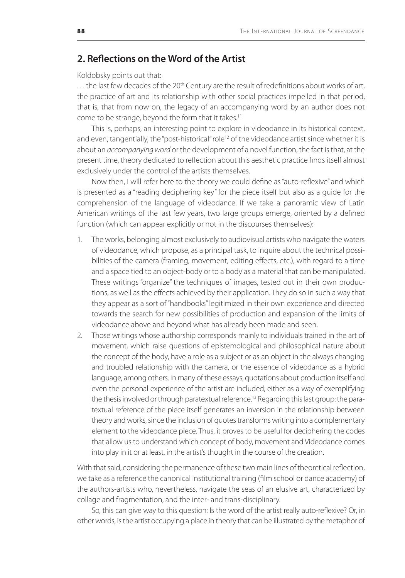# **2. Reflections on the Word of the Artist**

#### Koldobsky points out that:

... the last few decades of the 20<sup>th</sup> Century are the result of redefinitions about works of art, the practice of art and its relationship with other social practices impelled in that period, that is, that from now on, the legacy of an accompanying word by an author does not come to be strange, beyond the form that it takes.<sup>11</sup>

This is, perhaps, an interesting point to explore in videodance in its historical context, and even, tangentially, the "post-historical" role<sup>12</sup> of the videodance artist since whether it is about an *accompanying word* or the development of a novel function, the fact is that, at the present time, theory dedicated to reflection about this aesthetic practice finds itself almost exclusively under the control of the artists themselves.

Now then, I will refer here to the theory we could define as "auto-reflexive" and which is presented as a "reading deciphering key" for the piece itself but also as a guide for the comprehension of the language of videodance. If we take a panoramic view of Latin American writings of the last few years, two large groups emerge, oriented by a defined function (which can appear explicitly or not in the discourses themselves):

- 1. The works, belonging almost exclusively to audiovisual artists who navigate the waters of videodance, which propose, as a principal task, to inquire about the technical possibilities of the camera (framing, movement, editing effects, etc.), with regard to a time and a space tied to an object-body or to a body as a material that can be manipulated. These writings "organize" the techniques of images, tested out in their own productions, as well as the effects achieved by their application. They do so in such a way that they appear as a sort of "handbooks" legitimized in their own experience and directed towards the search for new possibilities of production and expansion of the limits of videodance above and beyond what has already been made and seen.
- 2. Those writings whose authorship corresponds mainly to individuals trained in the art of movement, which raise questions of epistemological and philosophical nature about the concept of the body, have a role as a subject or as an object in the always changing and troubled relationship with the camera, or the essence of videodance as a hybrid language, among others. In many of these essays, quotations about production itself and even the personal experience of the artist are included, either as a way of exemplifying the thesis involved or through paratextual reference.<sup>13</sup> Regarding this last group: the paratextual reference of the piece itself generates an inversion in the relationship between theory and works, since the inclusion of quotes transforms writing into a complementary element to the videodance piece. Thus, it proves to be useful for deciphering the codes that allow us to understand which concept of body, movement and Videodance comes into play in it or at least, in the artist's thought in the course of the creation.

With that said, considering the permanence of these two main lines of theoretical reflection, we take as a reference the canonical institutional training (film school or dance academy) of the authors-artists who, nevertheless, navigate the seas of an elusive art, characterized by collage and fragmentation, and the inter- and trans-disciplinary.

So, this can give way to this question: Is the word of the artist really auto-reflexive? Or, in other words, is the artist occupying a place in theory that can be illustrated by the metaphor of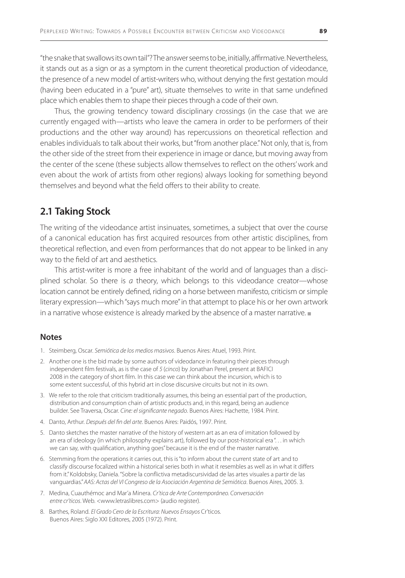"the snake that swallows its own tail"? The answer seems to be, initially, affirmative. Nevertheless, it stands out as a sign or as a symptom in the current theoretical production of videodance, the presence of a new model of artist-writers who, without denying the first gestation mould (having been educated in a "pure" art), situate themselves to write in that same undefined place which enables them to shape their pieces through a code of their own.

Thus, the growing tendency toward disciplinary crossings (in the case that we are currently engaged with—artists who leave the camera in order to be performers of their productions and the other way around) has repercussions on theoretical reflection and enables individuals to talk about their works, but "from another place." Not only, that is, from the other side of the street from their experience in image or dance, but moving away from the center of the scene (these subjects allow themselves to reflect on the others' work and even about the work of artists from other regions) always looking for something beyond themselves and beyond what the field offers to their ability to create.

# **2.1 Taking Stock**

The writing of the videodance artist insinuates, sometimes, a subject that over the course of a canonical education has first acquired resources from other artistic disciplines, from theoretical reflection, and even from performances that do not appear to be linked in any way to the field of art and aesthetics.

This artist-writer is more a free inhabitant of the world and of languages than a disciplined scholar. So there is *a* theory, which belongs to this videodance creator—whose location cannot be entirely defined, riding on a horse between manifesto, criticism or simple literary expression—which "says much more" in that attempt to place his or her own artwork in a narrative whose existence is already marked by the absence of a master narrative.

#### **Notes**

- 1. Steimberg, Oscar. *Semiótica de los medios masivos*. Buenos Aires: Atuel, 1993. Print.
- 2. Another one is the bid made by some authors of videodance in featuring their pieces through independent film festivals, as is the case of *5* (*cinco*) by Jonathan Perel, present at BAFICI 2008 in the category of short film. In this case we can think about the incursion, which is to some extent successful, of this hybrid art in close discursive circuits but not in its own.
- 3. We refer to the role that criticism traditionally assumes, this being an essential part of the production, distribution and consumption chain of artistic products and, in this regard, being an audience builder. See Traversa, Oscar. *Cine: el significante negado*. Buenos Aires: Hachette, 1984. Print.
- 4. Danto, Arthur. *Después del fin del arte*. Buenos Aires: Paidós, 1997. Print.
- 5. Danto sketches the master narrative of the history of western art as an era of imitation followed by an era of ideology (in which philosophy explains art), followed by our post-historical era ". . . in which we can say, with qualification, anything goes" because it is the end of the master narrative.
- 6. Stemming from the operations it carries out, this is "to inform about the current state of art and to classify discourse focalized within a historical series both in what it resembles as well as in what it differs from it." Koldobsky, Daniela. "Sobre la conflictiva metadiscursividad de las artes visuales a partir de las vanguardias." *AAS: Actas del VI Congreso de la Asociación Argentina de Semiótica*. Buenos Aires, 2005. 3.
- 7. Medina, Cuauthémoc and Mar'a Minera. *Cr'tica de Arte Contemporáneo. Conversación entre cr'ticos*. Web. <www.letraslibres.com> (audio register).
- 8. Barthes, Roland. *El Grado Cero de la Escritura: Nuevos Ensayos* Cr'ticos. Buenos Aires: Siglo XXI Editores, 2005 (1972). Print.